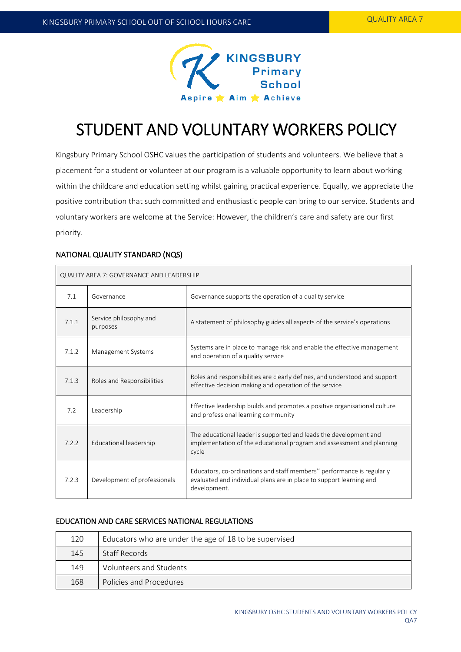

# STUDENT AND VOLUNTARY WORKERS POLICY

Kingsbury Primary School OSHC values the participation of students and volunteers. We believe that a placement for a student or volunteer at our program is a valuable opportunity to learn about working within the childcare and education setting whilst gaining practical experience. Equally, we appreciate the positive contribution that such committed and enthusiastic people can bring to our service. Students and voluntary workers are welcome at the Service: However, the children's care and safety are our first priority.

# NATIONAL QUALITY STANDARD (NQS)

| QUALITY AREA 7: GOVERNANCE AND LEADERSHIP |                                    |                                                                                                                                                              |  |  |
|-------------------------------------------|------------------------------------|--------------------------------------------------------------------------------------------------------------------------------------------------------------|--|--|
| 7.1                                       | Governance                         | Governance supports the operation of a quality service                                                                                                       |  |  |
| 7.1.1                                     | Service philosophy and<br>purposes | A statement of philosophy guides all aspects of the service's operations                                                                                     |  |  |
| 7.1.2                                     | Management Systems                 | Systems are in place to manage risk and enable the effective management<br>and operation of a quality service                                                |  |  |
| 7.1.3                                     | Roles and Responsibilities         | Roles and responsibilities are clearly defines, and understood and support<br>effective decision making and operation of the service                         |  |  |
| 7.2                                       | Leadership                         | Effective leadership builds and promotes a positive organisational culture<br>and professional learning community                                            |  |  |
| 7.2.2                                     | Educational leadership             | The educational leader is supported and leads the development and<br>implementation of the educational program and assessment and planning<br>cycle          |  |  |
| 7.2.3                                     | Development of professionals       | Educators, co-ordinations and staff members" performance is regularly<br>evaluated and individual plans are in place to support learning and<br>development. |  |  |

# EDUCATION AND CARE SERVICES NATIONAL REGULATIONS

| 120 | Educators who are under the age of 18 to be supervised |  |
|-----|--------------------------------------------------------|--|
| 145 | Staff Records                                          |  |
| 149 | Volunteers and Students                                |  |
| 168 | Policies and Procedures                                |  |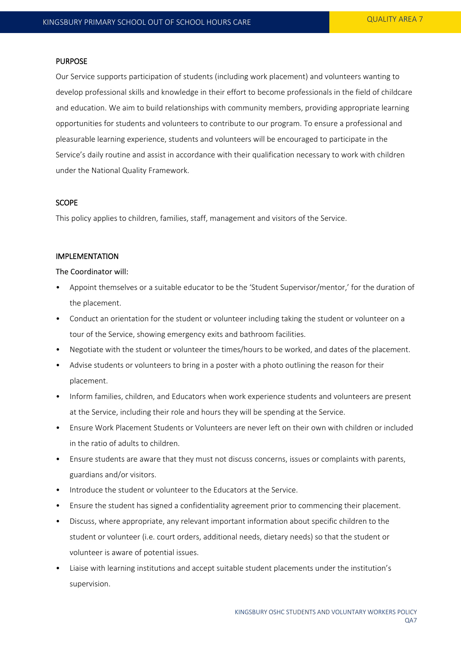#### PURPOSE

Our Service supports participation of students (including work placement) and volunteers wanting to develop professional skills and knowledge in their effort to become professionals in the field of childcare and education. We aim to build relationships with community members, providing appropriate learning opportunities for students and volunteers to contribute to our program. To ensure a professional and pleasurable learning experience, students and volunteers will be encouraged to participate in the Service's daily routine and assist in accordance with their qualification necessary to work with children under the National Quality Framework.

## SCOPE

This policy applies to children, families, staff, management and visitors of the Service.

#### IMPLEMENTATION

The Coordinator will:

- Appoint themselves or a suitable educator to be the 'Student Supervisor/mentor,' for the duration of the placement.
- Conduct an orientation for the student or volunteer including taking the student or volunteer on a tour of the Service, showing emergency exits and bathroom facilities.
- Negotiate with the student or volunteer the times/hours to be worked, and dates of the placement.
- Advise students or volunteers to bring in a poster with a photo outlining the reason for their placement.
- Inform families, children, and Educators when work experience students and volunteers are present at the Service, including their role and hours they will be spending at the Service.
- Ensure Work Placement Students or Volunteers are never left on their own with children or included in the ratio of adults to children.
- Ensure students are aware that they must not discuss concerns, issues or complaints with parents, guardians and/or visitors.
- Introduce the student or volunteer to the Educators at the Service.
- Ensure the student has signed a confidentiality agreement prior to commencing their placement.
- Discuss, where appropriate, any relevant important information about specific children to the student or volunteer (i.e. court orders, additional needs, dietary needs) so that the student or volunteer is aware of potential issues.
- Liaise with learning institutions and accept suitable student placements under the institution's supervision.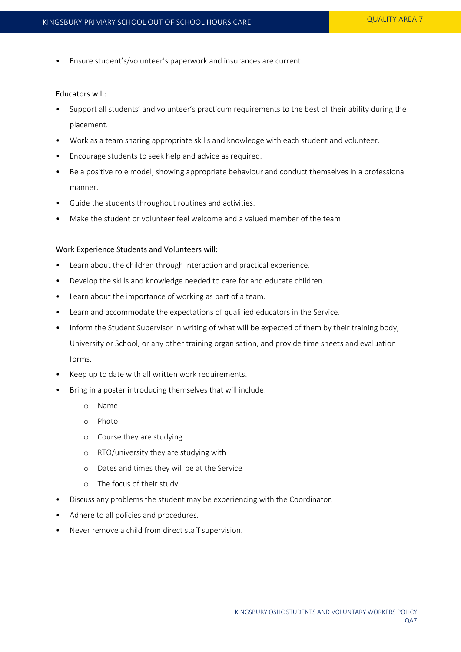• Ensure student's/volunteer's paperwork and insurances are current.

#### Educators will:

- Support all students' and volunteer's practicum requirements to the best of their ability during the placement.
- Work as a team sharing appropriate skills and knowledge with each student and volunteer.
- Encourage students to seek help and advice as required.
- Be a positive role model, showing appropriate behaviour and conduct themselves in a professional manner.
- Guide the students throughout routines and activities.
- Make the student or volunteer feel welcome and a valued member of the team.

#### Work Experience Students and Volunteers will:

- Learn about the children through interaction and practical experience.
- Develop the skills and knowledge needed to care for and educate children.
- Learn about the importance of working as part of a team.
- Learn and accommodate the expectations of qualified educators in the Service.
- Inform the Student Supervisor in writing of what will be expected of them by their training body, University or School, or any other training organisation, and provide time sheets and evaluation forms.
- Keep up to date with all written work requirements.
- Bring in a poster introducing themselves that will include:
	- o Name
	- o Photo
	- o Course they are studying
	- o RTO/university they are studying with
	- o Dates and times they will be at the Service
	- o The focus of their study.
- Discuss any problems the student may be experiencing with the Coordinator.
- Adhere to all policies and procedures.
- Never remove a child from direct staff supervision.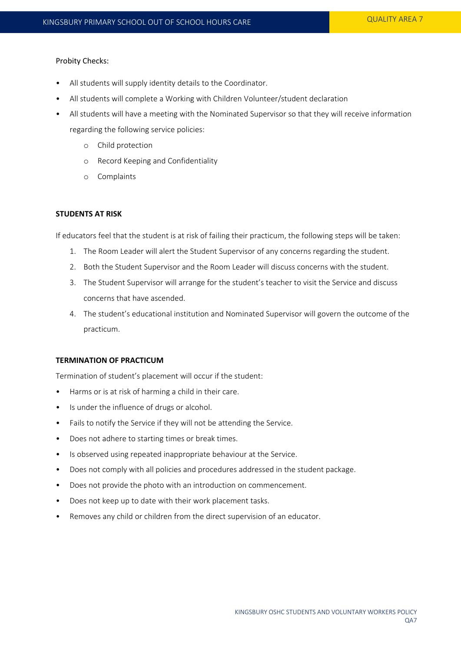# Probity Checks:

- All students will supply identity details to the Coordinator.
- All students will complete a Working with Children Volunteer/student declaration
- All students will have a meeting with the Nominated Supervisor so that they will receive information regarding the following service policies:
	- o Child protection
	- o Record Keeping and Confidentiality
	- o Complaints

## **STUDENTS AT RISK**

If educators feel that the student is at risk of failing their practicum, the following steps will be taken:

- 1. The Room Leader will alert the Student Supervisor of any concerns regarding the student.
- 2. Both the Student Supervisor and the Room Leader will discuss concerns with the student.
- 3. The Student Supervisor will arrange for the student's teacher to visit the Service and discuss concerns that have ascended.
- 4. The student's educational institution and Nominated Supervisor will govern the outcome of the practicum.

# **TERMINATION OF PRACTICUM**

Termination of student's placement will occur if the student:

- Harms or is at risk of harming a child in their care.
- Is under the influence of drugs or alcohol.
- Fails to notify the Service if they will not be attending the Service.
- Does not adhere to starting times or break times.
- Is observed using repeated inappropriate behaviour at the Service.
- Does not comply with all policies and procedures addressed in the student package.
- Does not provide the photo with an introduction on commencement.
- Does not keep up to date with their work placement tasks.
- Removes any child or children from the direct supervision of an educator.